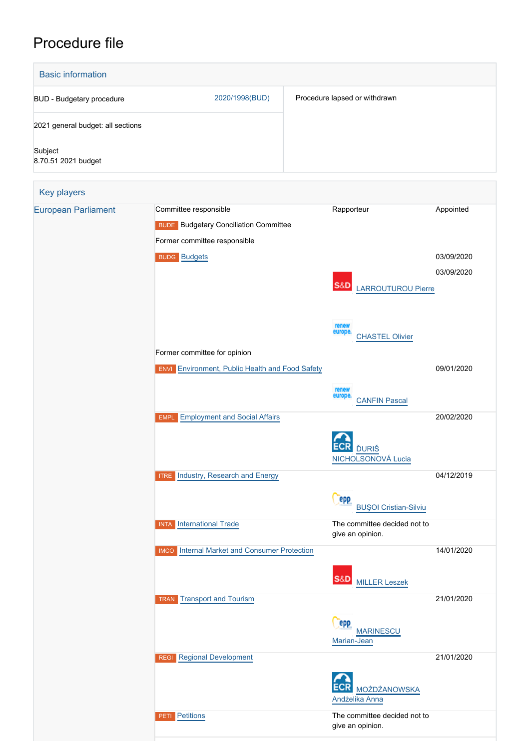## Procedure file

| <b>Basic information</b>          |                                                                                                       |                                                  |                          |
|-----------------------------------|-------------------------------------------------------------------------------------------------------|--------------------------------------------------|--------------------------|
| <b>BUD - Budgetary procedure</b>  | 2020/1998(BUD)                                                                                        | Procedure lapsed or withdrawn                    |                          |
| 2021 general budget: all sections |                                                                                                       |                                                  |                          |
| Subject<br>8.70.51 2021 budget    |                                                                                                       |                                                  |                          |
| Key players                       |                                                                                                       |                                                  |                          |
| <b>European Parliament</b>        | Committee responsible<br><b>BUDE</b> Budgetary Conciliation Committee<br>Former committee responsible | Rapporteur                                       | Appointed                |
|                                   | <b>BUDG Budgets</b>                                                                                   | S&D<br><b>LARROUTUROU Pierre</b>                 | 03/09/2020<br>03/09/2020 |
|                                   |                                                                                                       | renew<br>europe.<br><b>CHASTEL Olivier</b>       |                          |
|                                   | Former committee for opinion<br><b>ENVI</b> Environment, Public Health and Food Safety                |                                                  | 09/01/2020               |
|                                   |                                                                                                       | renew<br>europe.<br><b>CANFIN Pascal</b>         |                          |
|                                   | <b>Employment and Social Affairs</b><br><b>EMPL</b>                                                   | <b>ĎURIŠ</b><br>NICHOLSONOVÁ Lucia               | 20/02/2020               |
|                                   | <b>ITRE</b> Industry, Research and Energy                                                             | epp<br><b>BUŞOI Cristian-Silviu</b>              | 04/12/2019               |
|                                   | <b>INTA</b> International Trade                                                                       | The committee decided not to<br>give an opinion. |                          |
|                                   | <b>IMCO</b> Internal Market and Consumer Protection                                                   | <b>S&amp;D</b><br><b>MILLER Leszek</b>           | 14/01/2020               |
|                                   | <b>Transport and Tourism</b><br><b>TRAN</b>                                                           | epp<br><b>MARINESCU</b><br>Marian-Jean           | 21/01/2020               |
|                                   | <b>REGI</b> Regional Development                                                                      | <b>MOŻDŻANOWSKA</b><br>Andżelika Anna            | 21/01/2020               |
|                                   | Petitions<br><b>PETI</b>                                                                              | The committee decided not to<br>give an opinion. |                          |